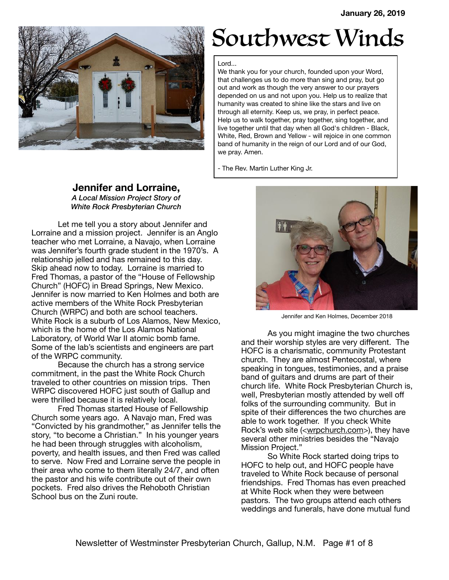

# Southwest Winds

#### Lord...

We thank you for your church, founded upon your Word, that challenges us to do more than sing and pray, but go out and work as though the very answer to our prayers depended on us and not upon you. Help us to realize that humanity was created to shine like the stars and live on through all eternity. Keep us, we pray, in perfect peace. Help us to walk together, pray together, sing together, and live together until that day when all God's children - Black, White, Red, Brown and Yellow - will rejoice in one common band of humanity in the reign of our Lord and of our God, we pray. Amen.

- The Rev. Martin Luther King Jr.

#### **Jennifer and Lorraine,**  *A Local Mission Project Story of White Rock Presbyterian Church*

Let me tell you a story about Jennifer and Lorraine and a mission project. Jennifer is an Anglo teacher who met Lorraine, a Navajo, when Lorraine was Jennifer's fourth grade student in the 1970's. A relationship jelled and has remained to this day. Skip ahead now to today. Lorraine is married to Fred Thomas, a pastor of the "House of Fellowship Church" (HOFC) in Bread Springs, New Mexico. Jennifer is now married to Ken Holmes and both are active members of the White Rock Presbyterian Church (WRPC) and both are school teachers. White Rock is a suburb of Los Alamos, New Mexico, which is the home of the Los Alamos National Laboratory, of World War II atomic bomb fame. Some of the lab's scientists and engineers are part of the WRPC community.

Because the church has a strong service commitment, in the past the White Rock Church traveled to other countries on mission trips. Then WRPC discovered HOFC just south of Gallup and were thrilled because it is relatively local.

Fred Thomas started House of Fellowship Church some years ago. A Navajo man, Fred was "Convicted by his grandmother," as Jennifer tells the story, "to become a Christian." In his younger years he had been through struggles with alcoholism, poverty, and health issues, and then Fred was called to serve. Now Fred and Lorraine serve the people in their area who come to them literally 24/7, and often the pastor and his wife contribute out of their own pockets. Fred also drives the Rehoboth Christian School bus on the Zuni route.



Jennifer and Ken Holmes, December 2018

As you might imagine the two churches and their worship styles are very different. The HOFC is a charismatic, community Protestant church. They are almost Pentecostal, where speaking in tongues, testimonies, and a praise band of guitars and drums are part of their church life. White Rock Presbyterian Church is, well, Presbyterian mostly attended by well off folks of the surrounding community. But in spite of their differences the two churches are able to work together. If you check White Rock's web site (<[wrpchurch.com>](http://wrpchurch.com)), they have several other ministries besides the "Navajo Mission Project."

So White Rock started doing trips to HOFC to help out, and HOFC people have traveled to White Rock because of personal friendships. Fred Thomas has even preached at White Rock when they were between pastors. The two groups attend each others weddings and funerals, have done mutual fund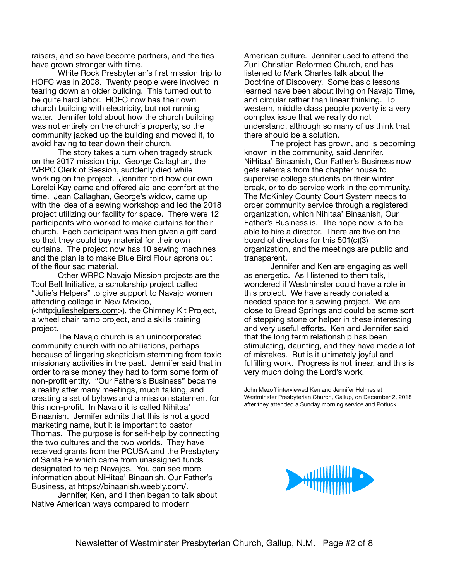raisers, and so have become partners, and the ties have grown stronger with time.

White Rock Presbyterian's first mission trip to HOFC was in 2008. Twenty people were involved in tearing down an older building. This turned out to be quite hard labor. HOFC now has their own church building with electricity, but not running water. Jennifer told about how the church building was not entirely on the church's property, so the community jacked up the building and moved it, to avoid having to tear down their church.

The story takes a turn when tragedy struck on the 2017 mission trip. George Callaghan, the WRPC Clerk of Session, suddenly died while working on the project. Jennifer told how our own Lorelei Kay came and offered aid and comfort at the time. Jean Callaghan, George's widow, came up with the idea of a sewing workshop and led the 2018 project utilizing our facility for space. There were 12 participants who worked to make curtains for their church. Each participant was then given a gift card so that they could buy material for their own curtains. The project now has 10 sewing machines and the plan is to make Blue Bird Flour aprons out of the flour sac material.

Other WRPC Navajo Mission projects are the Tool Belt Initiative, a scholarship project called "Julie's Helpers" to give support to Navajo women attending college in New Mexico, (<http[:julieshelpers.com](http://julieshelpers.com)>), the Chimney Kit Project, a wheel chair ramp project, and a skills training project.

The Navajo church is an unincorporated community church with no affiliations, perhaps because of lingering skepticism stemming from toxic missionary activities in the past. Jennifer said that in order to raise money they had to form some form of non-profit entity. "Our Fathers's Business" became a reality after many meetings, much talking, and creating a set of bylaws and a mission statement for this non-profit. In Navajo it is called Nihitaa' Binaanish. Jennifer admits that this is not a good marketing name, but it is important to pastor Thomas. The purpose is for self-help by connecting the two cultures and the two worlds. They have received grants from the PCUSA and the Presbytery of Santa Fe which came from unassigned funds designated to help Navajos. You can see more information about NiHitaa' Binaanish, Our Father's Business, at https://binaanish.weebly.com/.

Jennifer, Ken, and I then began to talk about Native American ways compared to modern

American culture. Jennifer used to attend the Zuni Christian Reformed Church, and has listened to Mark Charles talk about the Doctrine of Discovery. Some basic lessons learned have been about living on Navajo Time, and circular rather than linear thinking. To western, middle class people poverty is a very complex issue that we really do not understand, although so many of us think that there should be a solution.

The project has grown, and is becoming known in the community, said Jennifer. NiHitaa' Binaanish, Our Father's Business now gets referrals from the chapter house to supervise college students on their winter break, or to do service work in the community. The McKinley County Court System needs to order community service through a registered organization, which Nihitaa' Binaanish, Our Father's Business is. The hope now is to be able to hire a director. There are five on the board of directors for this 501(c)(3) organization, and the meetings are public and transparent.

Jennifer and Ken are engaging as well as energetic. As I listened to them talk, I wondered if Westminster could have a role in this project. We have already donated a needed space for a sewing project. We are close to Bread Springs and could be some sort of stepping stone or helper in these interesting and very useful efforts. Ken and Jennifer said that the long term relationship has been stimulating, daunting, and they have made a lot of mistakes. But is it ultimately joyful and fulfilling work. Progress is not linear, and this is very much doing the Lord's work.

John Mezoff interviewed Ken and Jennifer Holmes at Westminster Presbyterian Church, Gallup, on December 2, 2018 after they attended a Sunday morning service and Potluck.

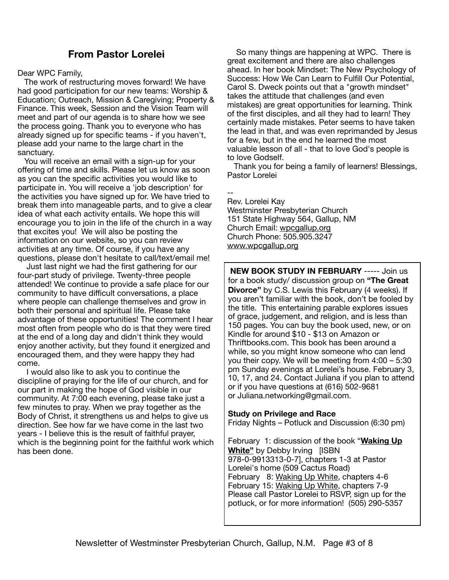## **From Pastor Lorelei**

Dear WPC Family,

The work of restructuring moves forward! We have had good participation for our new teams: Worship & Education; Outreach, Mission & Caregiving; Property & Finance. This week, Session and the Vision Team will meet and part of our agenda is to share how we see the process going. Thank you to everyone who has already signed up for specific teams - if you haven't, please add your name to the large chart in the sanctuary.

You will receive an email with a sign-up for your offering of time and skills. Please let us know as soon as you can the specific activities you would like to participate in. You will receive a 'job description' for the activities you have signed up for. We have tried to break them into manageable parts, and to give a clear idea of what each activity entails. We hope this will encourage you to join in the life of the church in a way that excites you! We will also be posting the information on our website, so you can review activities at any time. Of course, if you have any questions, please don't hesitate to call/text/email me!

 Just last night we had the first gathering for our four-part study of privilege. Twenty-three people attended! We continue to provide a safe place for our community to have difficult conversations, a place where people can challenge themselves and grow in both their personal and spiritual life. Please take advantage of these opportunities! The comment I hear most often from people who do is that they were tired at the end of a long day and didn't think they would enjoy another activity, but they found it energized and encouraged them, and they were happy they had come.

 I would also like to ask you to continue the discipline of praying for the life of our church, and for our part in making the hope of God visible in our community. At 7:00 each evening, please take just a few minutes to pray. When we pray together as the Body of Christ, it strengthens us and helps to give us direction. See how far we have come in the last two years - I believe this is the result of faithful prayer, which is the beginning point for the faithful work which has been done.

 So many things are happening at WPC. There is great excitement and there are also challenges ahead. In her book Mindset: The New Psychology of Success: How We Can Learn to Fulfill Our Potential, Carol S. Dweck points out that a "growth mindset" takes the attitude that challenges (and even mistakes) are great opportunities for learning. Think of the first disciples, and all they had to learn! They certainly made mistakes. Peter seems to have taken the lead in that, and was even reprimanded by Jesus for a few, but in the end he learned the most valuable lesson of all - that to love God's people is to love Godself.

Thank you for being a family of learners! Blessings, Pastor Lorelei

-- Rev. Lorelei Kay Westminster Presbyterian Church 151 State Highway 564, Gallup, NM Church Email: [wpcgallup.org](http://wpcgallup.org/) Church Phone: 505.905.3247 [www.wpcgallup.org](http://www.galluppresbyterian.org/)

**NEW BOOK STUDY IN FEBRUARY** ----- Join us for a book study/ discussion group on **"The Great Divorce"** by C.S. Lewis this February (4 weeks). If you aren't familiar with the book, don't be fooled by the title. This entertaining parable explores issues of grace, judgement, and religion, and is less than 150 pages. You can buy the book used, new, or on Kindle for around \$10 - \$13 on Amazon or [Thriftbooks.com](http://thriftbooks.com/). This book has been around a while, so you might know someone who can lend you their copy. We will be meeting from 4:00 – 5:30 pm Sunday evenings at Lorelei's house. February 3, 10, 17, and 24. Contact Juliana if you plan to attend or if you have questions at (616) 502-9681 or [Juliana.networking@gmail.com](mailto:Juliana.networking@gmail.com).

### **Study on Privilege and Race**

Friday Nights – Potluck and Discussion (6:30 pm)

February 1: discussion of the book "**Waking Up White"** by Debby Irving [ISBN 978-0-9913313-0-7], chapters 1-3 at Pastor Lorelei's home (509 Cactus Road) February 8: Waking Up White, chapters 4-6 February 15: Waking Up White, chapters 7-9 Please call Pastor Lorelei to RSVP, sign up for the potluck, or for more information! (505) 290-5357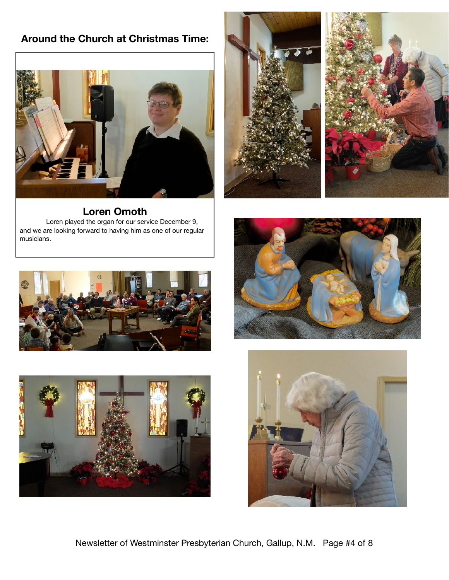## **Around the Church at Christmas Time:**



**Loren Omoth**  Loren played the organ for our service December 9, and we are looking forward to having him as one of our regular musicians.







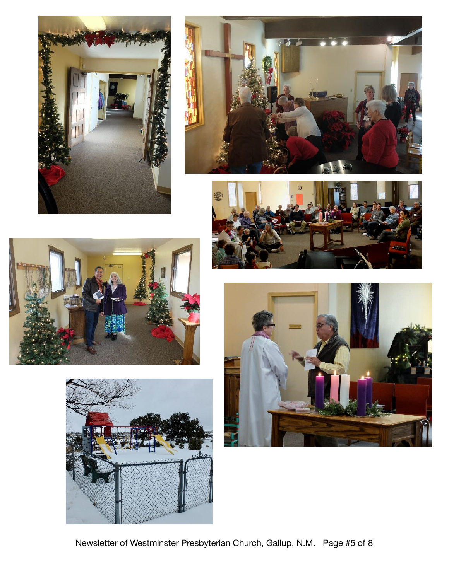











Newsletter of Westminster Presbyterian Church, Gallup, N.M. Page #5 of 8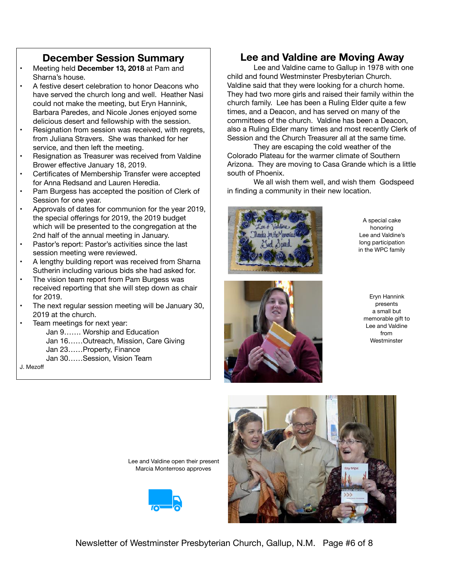## **December Session Summary**

- Meeting held **December 13, 2018** at Pam and Sharna's house.
- A festive desert celebration to honor Deacons who have served the church long and well. Heather Nasi could not make the meeting, but Eryn Hannink, Barbara Paredes, and Nicole Jones enjoyed some delicious desert and fellowship with the session.
- Resignation from session was received, with regrets, from Juliana Stravers. She was thanked for her service, and then left the meeting.
- Resignation as Treasurer was received from Valdine Brower effective January 18, 2019.
- Certificates of Membership Transfer were accepted for Anna Redsand and Lauren Heredia.
- Pam Burgess has accepted the position of Clerk of Session for one year.
- Approvals of dates for communion for the year 2019, the special offerings for 2019, the 2019 budget which will be presented to the congregation at the 2nd half of the annual meeting in January.
- Pastor's report: Pastor's activities since the last session meeting were reviewed.
- A lengthy building report was received from Sharna Sutherin including various bids she had asked for.
- The vision team report from Pam Burgess was received reporting that she will step down as chair for 2019.
- The next regular session meeting will be January 30, 2019 at the church.
- Team meetings for next year:
	- Jan 9……. Worship and Education Jan 16……Outreach, Mission, Care Giving
	- Jan 23……Property, Finance
	- Jan 30……Session, Vision Team

J. Mezoff

# **Lee and Valdine are Moving Away**

Lee and Valdine came to Gallup in 1978 with one child and found Westminster Presbyterian Church. Valdine said that they were looking for a church home. They had two more girls and raised their family within the church family. Lee has been a Ruling Elder quite a few times, and a Deacon, and has served on many of the committees of the church. Valdine has been a Deacon, also a Ruling Elder many times and most recently Clerk of Session and the Church Treasurer all at the same time.

They are escaping the cold weather of the Colorado Plateau for the warmer climate of Southern Arizona. They are moving to Casa Grande which is a little south of Phoenix.

We all wish them well, and wish them Godspeed in finding a community in their new location.



A special cake honoring Lee and Valdine's long participation in the WPC family



Eryn Hannink presents a small but memorable gift to Lee and Valdine from **Westminster** 



Lee and Valdine open their present Marcia Monterroso approves

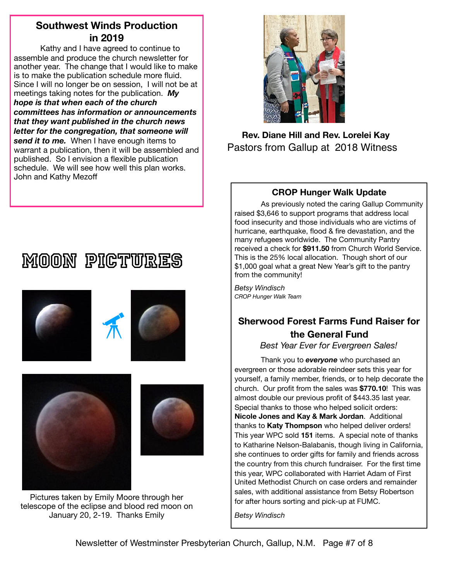## **Southwest Winds Production in 2019**

Kathy and I have agreed to continue to assemble and produce the church newsletter for another year. The change that I would like to make is to make the publication schedule more fluid. Since I will no longer be on session, I will not be at meetings taking notes for the publication. *My hope is that when each of the church committees has information or announcements that they want published in the church news letter for the congregation, that someone will send it to me.* When I have enough items to warrant a publication, then it will be assembled and published. So I envision a flexible publication schedule. We will see how well this plan works. John and Kathy Mezoff

# Moon Pictures









Pictures taken by Emily Moore through her telescope of the eclipse and blood red moon on January 20, 2-19. Thanks Emily



**Rev. Diane Hill and Rev. Lorelei Kay**  Pastors from Gallup at 2018 Witness

### **CROP Hunger Walk Update**

As previously noted the caring Gallup Community raised \$3,646 to support programs that address local food insecurity and those individuals who are victims of hurricane, earthquake, flood & fire devastation, and the many refugees worldwide. The Community Pantry received a check for **\$911.50** from Church World Service. This is the 25% local allocation. Though short of our \$1,000 goal what a great New Year's gift to the pantry from the community!

*Betsy Windisch CROP Hunger Walk Team* 

# **Sherwood Forest Farms Fund Raiser for the General Fund**

*Best Year Ever for Evergreen Sales!* 

Thank you to *everyone* who purchased an evergreen or those adorable reindeer sets this year for yourself, a family member, friends, or to help decorate the church. Our profit from the sales was **\$770.10**! This was almost double our previous profit of \$443.35 last year. Special thanks to those who helped solicit orders: **Nicole Jones and Kay & Mark Jordan**. Additional thanks to **Katy Thompson** who helped deliver orders! This year WPC sold **151** items. A special note of thanks to Katharine Nelson-Balabanis, though living in California, she continues to order gifts for family and friends across the country from this church fundraiser. For the first time this year, WPC collaborated with Harriet Adam of First United Methodist Church on case orders and remainder sales, with additional assistance from Betsy Robertson for after hours sorting and pick-up at FUMC.

*Betsy Windisch*